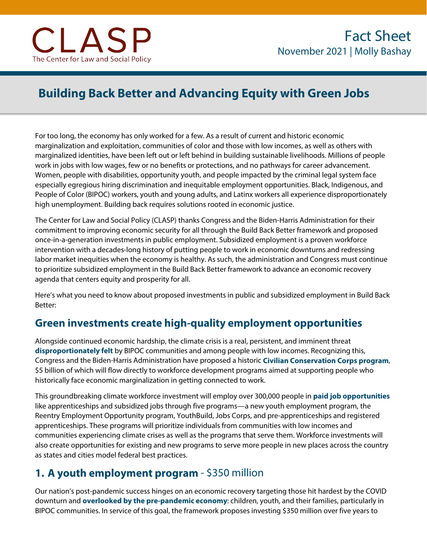# **Building Back Better and Advancing Equity with Green Jobs**

For too long, the economy has only worked for a few. As a result of current and historic economic marginalization and exploitation, communities of color and those with low incomes, as well as others with marginalized identities, have been left out or left behind in building sustainable livelihoods. Millions of people work in jobs with low wages, few or no benefits or protections, and no pathways for career advancement. Women, people with disabilities, opportunity youth, and people impacted by the criminal legal system face especially egregious hiring discrimination and inequitable employment opportunities. Black, Indigenous, and People of Color (BIPOC) workers, youth and young adults, and Latinx workers all experience disproportionately high unemployment. Building back requires solutions rooted in economic justice.

The Center for Law and Social Policy (CLASP) thanks Congress and the Biden-Harris Administration for their commitment to improving economic security for all through the Build Back Better framework and proposed once-in-a-generation investments in public employment. Subsidized employment is a proven workforce intervention with a decades-long history of putting people to work in economic downturns and redressing labor market inequities when the economy is healthy. As such, the administration and Congress must continue to prioritize subsidized employment in the Build Back Better framework to advance an economic recovery agenda that centers equity and prosperity for all.

Here's what you need to know about proposed investments in public and subsidized employment in Build Back Better:

### **Green investments create high-quality employment opportunities**

Alongside continued economic hardship, the climate crisis is a real, persistent, and imminent threat **[disproportionately felt](https://www.clasp.org/why-we-cant-wait-economic-justice)** by BIPOC communities and among people with low incomes. Recognizing this, Congress and the Biden-Harris Administration have proposed a historic **[Civilian Conservation Corps program](https://www.whitehouse.gov/briefing-room/statements-releases/2021/10/28/president-biden-announces-the-build-back-better-framework/)**, \$5 billion of which will flow directly to workforce development programs aimed at supporting people who historically face economic marginalization in getting connected to work.

This groundbreaking climate workforce investment will employ over 300,000 people in **[paid job opportunities](https://www.clasp.org/blog/green-economy-needs-subsidized-jobs)** like apprenticeships and subsidized jobs through five programs—a new youth employment program, the Reentry Employment Opportunity program, YouthBuild, Jobs Corps, and pre-apprenticeships and registered apprenticeships. These programs will prioritize individuals from communities with low incomes and communities experiencing climate crises as well as the programs that serve them. Workforce investments will also create opportunities for existing and new programs to serve more people in new places across the country as states and cities model federal best practices.

### **1. A youth employment program** - \$350 million

Our nation's post-pandemic success hinges on an economic recovery targeting those hit hardest by the COVID downturn and **[overlooked by the pre-pandemic economy](https://www.clasp.org/press-room/news-clips/subsidized-jobs-key-equitable-economic-recovery)**: children, youth, and their families, particularly in BIPOC communities. In service of this goal, the framework proposes investing \$350 million over five years to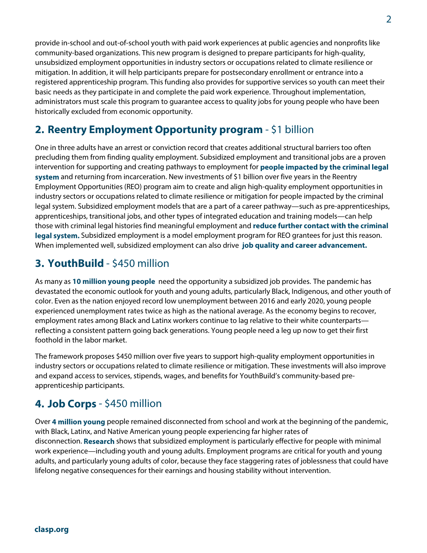provide in-school and out-of-school youth with paid work experiences at public agencies and nonprofits like community-based organizations. This new program is designed to prepare participants for high-quality, unsubsidized employment opportunities in industry sectors or occupations related to climate resilience or mitigation. In addition, it will help participants prepare for postsecondary enrollment or entrance into a registered apprenticeship program. This funding also provides for supportive services so youth can meet their basic needs as they participate in and complete the paid work experience. Throughout implementation, administrators must scale this program to guarantee access to quality jobs for young people who have been historically excluded from economic opportunity.

## **2. Reentry Employment Opportunity program** - \$1 billion

One in three adults have an arrest or conviction record that creates additional structural barriers too often precluding them from finding quality employment. Subsidized employment and transitional jobs are a proven intervention fo[r supporting and creating pathways to employment for](https://www.clasp.org/publications/report/brief/subsidized-jobs-youth-and-adults-impacted-criminal-legal-system) **people [impacted by the criminal legal](https://www.clasp.org/publications/report/brief/subsidized-jobs-youth-and-adults-impacted-criminal-legal-system)  [system](https://www.clasp.org/publications/report/brief/subsidized-jobs-youth-and-adults-impacted-criminal-legal-system)** and returning from incarceration. New investments of \$1 billion over five years in the Reentry Employment Opportunities (REO) program aim to create and align high-quality employment opportunities in industry sectors or occupations related to climate resilience or mitigation for people impacted by the criminal legal system. Subsidized employment models that are a part of a career pathway—such as pre-apprenticeships, apprenticeships, transitional jobs, and other types of integrated education and training models—can help those with criminal legal histories find meaningful employment and **[reduce further contact with the criminal](https://www.cbpp.org/blog/recovery-package-must-include-subsidized-employment-to-support-returning-citizens)  [legal system.](https://www.cbpp.org/blog/recovery-package-must-include-subsidized-employment-to-support-returning-citizens)** Subsidized employment is a model employment program for REO grantees for just this reason. When implemented well, subsidized employment can also drive **[job quality and career advancement.](https://www.clasp.org/publications/report/brief/clasp-principles-subsidized-employment-building-equitable-recovery-workers)**

### **3. YouthBuild** - \$450 million

As many as **[10 million young people](https://www.pewresearch.org/fact-tank/2020/07/29/amid-coronavirus-outbreak-nearly-three-in-ten-young-people-are-neither-working-nor-in-school/)** need the opportunity a subsidized job provides. The pandemic has devastated the economic outlook for youth and young adults, particularly Black, Indigenous, and other youth of color. Even as the nation enjoyed record low unemployment between 2016 and early 2020, young people experienced unemployment rates twice as high as the national average. As the economy begins to recover, employment rates among Black and Latinx workers continue to lag relative to their white counterparts reflecting a consistent pattern going back generations. Young people need a leg up now to get their first foothold in the labor market.

The framework proposes \$450 million over five years to support high-quality employment opportunities in industry sectors or occupations related to climate resilience or mitigation. These investments will also improve and expand access to services, stipends, wages, and benefits for YouthBuild's community-based preapprenticeship participants.

## **4. Job Corps** - \$450 million

Over **[4 million young](https://measureofamerica.org/youth-disconnection-2020/)** people remained disconnected from school and work at the beginning of the pandemic, with Black, Latinx, and Native American young people experiencing far higher rates of disconnection. **[Research](https://www.mdrc.org/publication/toward-better-future)** shows that subsidized employment is particularly effective for people with minimal work experience—including youth and young adults. Employment programs are critical for youth and young adults, and [particularly young adults of color,](https://www.clasp.org/publications/fact-sheet/subsidized-jobs-young-people) because they face staggering rates of joblessness that could have lifelong negative consequences for their earnings and housing stability without intervention.